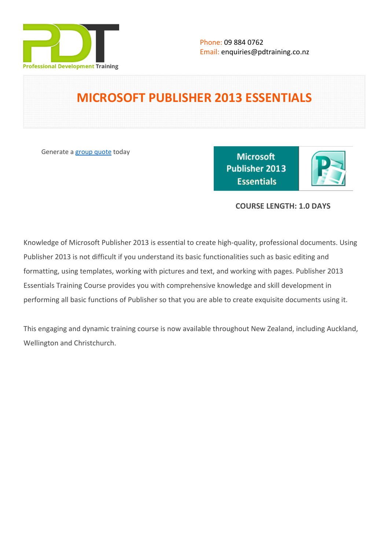

# **MICROSOFT PUBLISHER 2013 ESSENTIALS**

Generate a [group quote](https://pdtraining.co.nz/inhouse-training-quote?cse=502) today

**Microsoft** Publisher 2013 **Essentials** 

# **COURSE LENGTH: 1.0 DAYS**

Knowledge of Microsoft Publisher 2013 is essential to create high-quality, professional documents. Using Publisher 2013 is not difficult if you understand its basic functionalities such as basic editing and formatting, using templates, working with pictures and text, and working with pages. Publisher 2013 Essentials Training Course provides you with comprehensive knowledge and skill development in performing all basic functions of Publisher so that you are able to create exquisite documents using it.

This engaging and dynamic training course is now available throughout New Zealand, including Auckland, Wellington and Christchurch.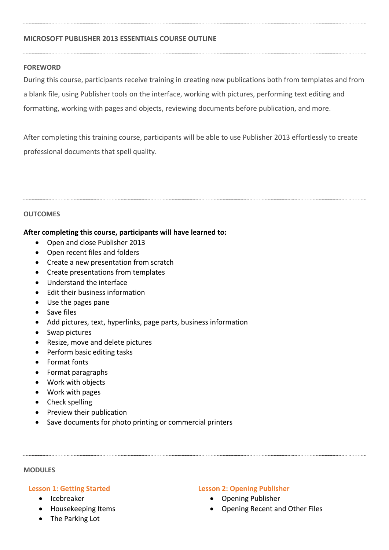## **MICROSOFT PUBLISHER 2013 ESSENTIALS COURSE OUTLINE**

## **FOREWORD**

During this course, participants receive training in creating new publications both from templates and from a blank file, using Publisher tools on the interface, working with pictures, performing text editing and formatting, working with pages and objects, reviewing documents before publication, and more.

After completing this training course, participants will be able to use Publisher 2013 effortlessly to create professional documents that spell quality.

#### **OUTCOMES**

## **After completing this course, participants will have learned to:**

- Open and close Publisher 2013
- Open recent files and folders
- Create a new presentation from scratch
- Create presentations from templates
- Understand the interface
- Edit their business information
- Use the pages pane
- Save files
- Add pictures, text, hyperlinks, page parts, business information
- Swap pictures
- Resize, move and delete pictures
- Perform basic editing tasks
- Format fonts
- Format paragraphs
- Work with objects
- Work with pages
- Check spelling
- Preview their publication
- Save documents for photo printing or commercial printers

#### **MODULES**

## **Lesson 1: Getting Started**

- Icebreaker
- Housekeeping Items
- The Parking Lot

## **Lesson 2: Opening Publisher**

- Opening Publisher
- Opening Recent and Other Files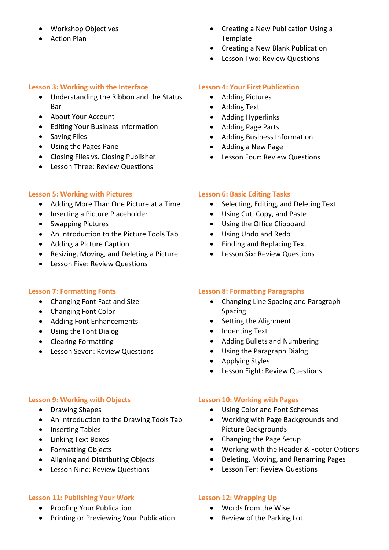- Workshop Objectives
- Action Plan

## **Lesson 3: Working with the Interface**

- Understanding the Ribbon and the Status Bar
- About Your Account
- Editing Your Business Information
- Saving Files
- Using the Pages Pane
- Closing Files vs. Closing Publisher
- Lesson Three: Review Questions

## **Lesson 5: Working with Pictures**

- Adding More Than One Picture at a Time
- Inserting a Picture Placeholder
- Swapping Pictures
- An Introduction to the Picture Tools Tab
- Adding a Picture Caption
- Resizing, Moving, and Deleting a Picture
- Lesson Five: Review Questions

# **Lesson 7: Formatting Fonts**

- Changing Font Fact and Size
- Changing Font Color
- Adding Font Enhancements
- Using the Font Dialog
- Clearing Formatting
- Lesson Seven: Review Questions

# **Lesson 9: Working with Objects**

- Drawing Shapes
- An Introduction to the Drawing Tools Tab
- Inserting Tables
- Linking Text Boxes
- Formatting Objects
- Aligning and Distributing Objects
- Lesson Nine: Review Questions

## **Lesson 11: Publishing Your Work**

- Proofing Your Publication
- Printing or Previewing Your Publication
- Creating a New Publication Using a Template
- Creating a New Blank Publication
- Lesson Two: Review Questions

# **Lesson 4: Your First Publication**

- Adding Pictures
- Adding Text
- Adding Hyperlinks
- Adding Page Parts
- Adding Business Information
- Adding a New Page
- Lesson Four: Review Questions

## **Lesson 6: Basic Editing Tasks**

- Selecting, Editing, and Deleting Text
- Using Cut, Copy, and Paste
- Using the Office Clipboard
- Using Undo and Redo
- Finding and Replacing Text
- Lesson Six: Review Questions

# **Lesson 8: Formatting Paragraphs**

- Changing Line Spacing and Paragraph Spacing
- Setting the Alignment
- Indenting Text
- Adding Bullets and Numbering
- Using the Paragraph Dialog
- Applying Styles
- Lesson Eight: Review Questions

## **Lesson 10: Working with Pages**

- Using Color and Font Schemes
- Working with Page Backgrounds and Picture Backgrounds
- Changing the Page Setup
- Working with the Header & Footer Options
- Deleting, Moving, and Renaming Pages
- Lesson Ten: Review Questions

## **Lesson 12: Wrapping Up**

- Words from the Wise
- Review of the Parking Lot